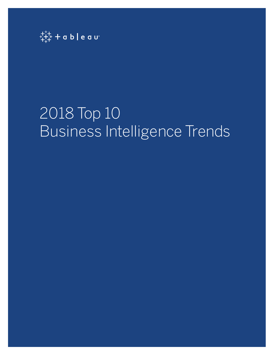

# 2018 Top 10 Business Intelligence Trends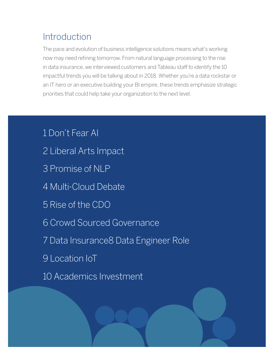# **Introduction**

The pace and evolution of business intelligence solutions means what's working now may need refining tomorrow. From natural language processing to the rise in data insurance, we interviewed customers and Tableau staff to identify the 10 impactful trends you will be talking about in 2018. Whether you're a data rockstar or an IT hero or an executive building your BI empire, these trends emphasize strategic priorities that could help take your organization to the next level.

1 Don't Fear AI 2 Liberal Arts Impact 3 Promise of NLP 4 Multi-Cloud Debate 5 Rise of the CDO 6 Crowd Sourced Governance 7 Data Insurance8 Data Engineer Role 9 Location IoT 10 Academics Investment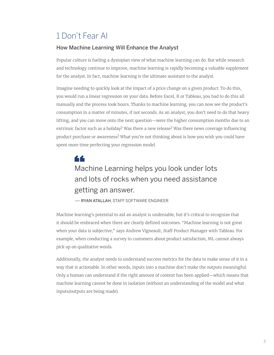#### 1 Don't Fear AI

#### How Machine Learning Will Enhance the Analyst

Popular culture is fueling a dystopian view of what machine learning can do. But while research and technology continue to improve, machine learning is rapidly becoming a valuable supplement for the analyst. In fact, machine learning is the ultimate assistant to the analyst.

Imagine needing to quickly look at the impact of a price change on a given product. To do this, you would run a linear regression on your data. Before Excel, R or Tableau, you had to do this all manually and the process took hours. Thanks to machine learning, you can now see the product's consumption in a matter of minutes, if not seconds. As an analyst, you don't need to do that heavy lifting, and you can move onto the next question—were the higher consumption months due to an extrinsic factor such as a holiday? Was there a new release? Was there news coverage influencing product purchase or awareness? What you're not thinking about is how you wish you could have spent more time perfecting your regression model.

# 66 Machine Learning helps you look under lots and lots of rocks when you need assistance getting an answer.

— RYAN ATALLAH, STAFF SOFTWARE ENGINEER

Machine learning's potential to aid an analyst is undeniable, but it's critical to recognize that it should be embraced when there are clearly defined outcomes. "Machine learning is not great when your data is subjective," says Andrew Vigneault, Staff Product Manager with Tableau. For example, when conducting a survey to customers about product satisfaction, ML cannot always pick up on qualitative words.

Additionally, the analyst needs to understand success metrics for the data to make sense of it in a way that is actionable. In other words, inputs into a machine don't make the outputs meaningful. Only a human can understand if the right amount of context has been applied—which means that machine learning cannot be done in isolation (without an understanding of the model and what inputs/outputs are being made).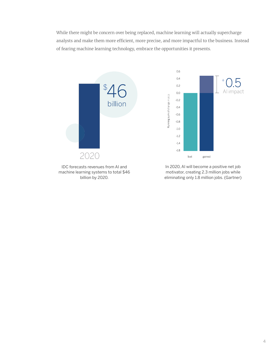While there might be concern over being replaced, machine learning will actually supercharge analysts and make them more efficient, more precise, and more impactful to the business. Instead of fearing machine learning technology, embrace the opportunities it presents.



machine learning systems to total \$46 billion by 2020.

motivator, creating 2.3 million jobs while eliminating only 1.8 million jobs. (Gartner)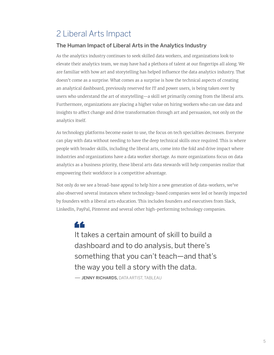### 2 Liberal Arts Impact

#### The Human Impact of Liberal Arts in the Analytics Industry

As the analytics industry continues to seek skilled data workers, and organizations look to elevate their analytics team, we may have had a plethora of talent at our fingertips all along. We are familiar with how art and storytelling has helped influence the data analytics industry. That doesn't come as a surprise. What comes as a surprise is how the technical aspects of creating an analytical dashboard, previously reserved for IT and power users, is being taken over by users who understand the art of storytelling—a skill set primarily coming from the liberal arts. Furthermore, organizations are placing a higher value on hiring workers who can use data and insights to affect change and drive transformation through art and persuasion, not only on the analytics itself.

As technology platforms become easier to use, the focus on tech specialties decreases. Everyone can play with data without needing to have the deep technical skills once required. This is where people with broader skills, including the liberal arts, come into the fold and drive impact where industries and organizations have a data worker shortage. As more organizations focus on data analytics as a business priority, these liberal arts data stewards will help companies realize that empowering their workforce is a competitive advantage.

Not only do we see a broad-base appeal to help hire a new generation of data-workers, we've also observed several instances where technology-based companies were led or heavily impacted by founders with a liberal arts education. This includes founders and executives from Slack, LinkedIn, PayPal, Pinterest and several other high-performing technology companies.

# 66

It takes a certain amount of skill to build a dashboard and to do analysis, but there's something that you can't teach—and that's the way you tell a story with the data.

- JENNY RICHARDS, DATA ARTIST, TABLEAU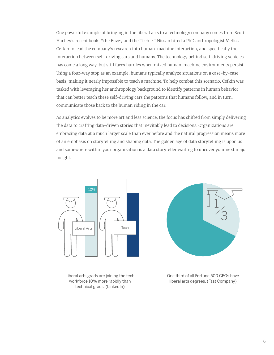One powerful example of bringing in the liberal arts to a technology company comes from Scott Hartley's recent book, "the Fuzzy and the Techie." Nissan hired a PhD anthropologist Melissa Cefkin to lead the company's research into human-machine interaction, and specifically the interaction between self-driving cars and humans. The technology behind self-driving vehicles has come a long way, but still faces hurdles when mixed human-machine environments persist. Using a four-way stop as an example, humans typically analyze situations on a case-by-case basis, making it nearly impossible to teach a machine. To help combat this scenario, Cefkin was tasked with leveraging her anthropology background to identify patterns in human behavior that can better teach these self-driving cars the patterns that humans follow, and in turn, communicate those back to the human riding in the car.

As analytics evolves to be more art and less science, the focus has shifted from simply delivering the data to crafting data-driven stories that inevitably lead to decisions. Organizations are embracing data at a much larger scale than ever before and the natural progression means more of an emphasis on storytelling and shaping data. The golden age of data storytelling is upon us and somewhere within your organization is a data storyteller waiting to uncover your next major insight.



Liberal arts grads are joining the tech workforce 10% more rapidly than technical grads. (LinkedIn)



One third of all Fortune 500 CEOs have liberal arts degrees. (Fast Company)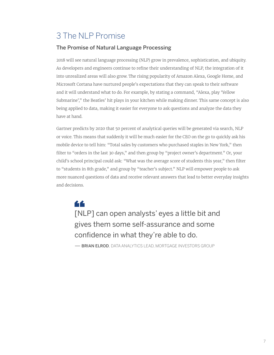### 3 The NLP Promise

#### The Promise of Natural Language Processing

2018 will see natural language processing (NLP) grow in prevalence, sophistication, and ubiquity. As developers and engineers continue to refine their understanding of NLP, the integration of it into unrealized areas will also grow. The rising popularity of Amazon Alexa, Google Home, and Microsoft Cortana have nurtured people's expectations that they can speak to their software and it will understand what to do. For example, by stating a command, "Alexa, play 'Yellow Submarine'," the Beatles' hit plays in your kitchen while making dinner. This same concept is also being applied to data, making it easier for everyone to ask questions and analyze the data they have at hand.

Gartner predicts by 2020 that 50 percent of analytical queries will be generated via search, NLP or voice. This means that suddenly it will be much easier for the CEO on the go to quickly ask his mobile device to tell him: "Total sales by customers who purchased staples in New York," then filter to "orders in the last 30 days," and then group by "project owner's department." Or, your child's school principal could ask: "What was the average score of students this year," then filter to "students in 8th grade," and group by "teacher's subject." NLP will empower people to ask more nuanced questions of data and receive relevant answers that lead to better everyday insights and decisions.

44 [NLP] can open analysts' eyes a little bit and gives them some self-assurance and some confidence in what they're able to do.

**— BRIAN ELROD**, DATA ANALYTICS LEAD, MORTGAGE INVESTORS GROUP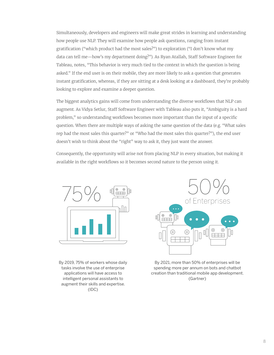Simultaneously, developers and engineers will make great strides in learning and understanding how people use NLP. They will examine how people ask questions, ranging from instant gratification ("which product had the most sales?") to exploration ("I don't know what my data can tell me—how's my department doing?"). As Ryan Atallah, Staff Software Engineer for Tableau, notes, "This behavior is very much tied to the context in which the question is being asked." If the end user is on their mobile, they are more likely to ask a question that generates instant gratification, whereas, if they are sitting at a desk looking at a dashboard, they're probably looking to explore and examine a deeper question.

The biggest analytics gains will come from understanding the diverse workflows that NLP can augment. As Vidya Setlur, Staff Software Engineer with Tableau also puts it, "Ambiguity is a hard problem," so understanding workflows becomes more important than the input of a specific question. When there are multiple ways of asking the same question of the data (e.g. "What sales rep had the most sales this quarter?" or "Who had the most sales this quarter?"), the end user doesn't wish to think about the "right" way to ask it, they just want the answer.

Consequently, the opportunity will arise not from placing NLP in every situation, but making it available in the right workflows so it becomes second nature to the person using it.



By 2019, 75% of workers whose daily tasks involve the use of enterprise applications will have access to intelligent personal assistants to augment their skills and expertise. (IDC)



By 2021, more than 50% of enterprises will be spending more per annum on bots and chatbot creation than traditional mobile app development. (Gartner)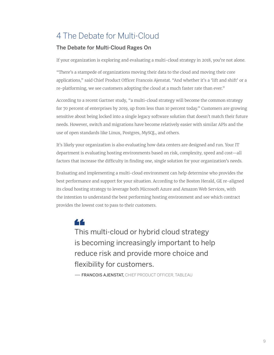### 4 The Debate for Multi-Cloud

#### The Debate for Multi-Cloud Rages On

If your organization is exploring and evaluating a multi-cloud strategy in 2018, you're not alone.

"There's a stampede of organizations moving their data to the cloud and moving their core applications," said Chief Product Officer Francois Ajenstat. "And whether it's a 'lift and shift' or a re-platforming, we see customers adopting the cloud at a much faster rate than ever."

According to a recent Gartner study, "a multi-cloud strategy will become the common strategy for 70 percent of enterprises by 2019, up from less than 10 percent today." Customers are growing sensitive about being locked into a single legacy software solution that doesn't match their future needs. However, switch and migrations have become relatively easier with similar APIs and the use of open standards like Linux, Postgres, MySQL, and others.

It's likely your organization is also evaluating how data centers are designed and run. Your IT department is evaluating hosting environments based on risk, complexity, speed and cost—all factors that increase the difficulty in finding one, single solution for your organization's needs.

Evaluating and implementing a multi-cloud environment can help determine who provides the best performance and support for your situation. According to the Boston Herald, GE re-aligned its cloud hosting strategy to leverage both Microsoft Azure and Amazon Web Services, with the intention to understand the best performing hosting environment and see which contract provides the lowest cost to pass to their customers.



This multi-cloud or hybrid cloud strategy is becoming increasingly important to help reduce risk and provide more choice and flexibility for customers.

**— FRANCOIS AJENSTAT.** CHIEF PRODUCT OFFICER. TABLEAU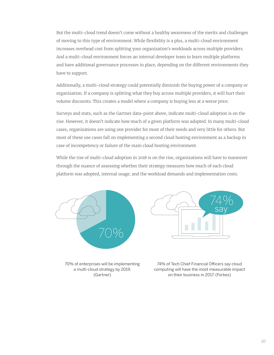But the multi-cloud trend doesn't come without a healthy awareness of the merits and challenges of moving to this type of environment. While flexibility is a plus, a multi-cloud environment increases overhead cost from splitting your organization's workloads across multiple providers. And a multi-cloud environment forces an internal developer team to learn multiple platforms and have additional governance processes in place, depending on the different environments they have to support.

Additionally, a multi-cloud strategy could potentially diminish the buying power of a company or organization. If a company is splitting what they buy across multiple providers, it will hurt their volume discounts. This creates a model where a company is buying less at a worse price.

Surveys and stats, such as the Gartner data-point above, indicate multi-cloud adoption is on the rise. However, it doesn't indicate how much of a given platform was adopted. In many multi-cloud cases, organizations are using one provider for most of their needs and very little for others. But most of these use cases fall on implementing a second cloud hosting environment as a backup in case of incompetency or failure of the main cloud hosting environment.

While the rise of multi-cloud adoption in 2018 is on the rise, organizations will have to maneuver through the nuance of assessing whether their strategy measures how much of each cloud platform was adopted, internal usage, and the workload demands and implementation costs.



70% of enterprises will be implementing a multi-cloud strategy by 2019. (Gartner)

74% of Tech Chief Financial Officers say cloud computing will have the most measurable impact on their business in 2017. (Forbes)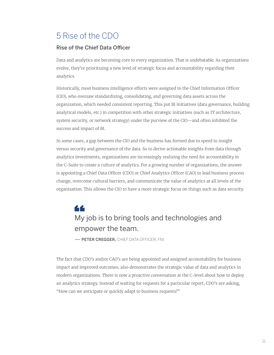### 5 Rise of the CDO

#### Rise of the Chief Data Officer

Data and analytics are becoming core to every organization. That is undebatable. As organizations evolve, they're prioritizing a new level of strategic focus and accountability regarding their analytics.

Historically, most business intelligence efforts were assigned to the Chief Information Officer (CIO), who oversaw standardizing, consolidating, and governing data assets across the organization, which needed consistent reporting. This put BI initiatives (data governance, building analytical models, etc.) in competition with other strategic initiatives (such as IT architecture, system security, or network strategy) under the purview of the CIO—and often inhibited the success and impact of BI.

In some cases, a gap between the CIO and the business has formed due to speed to insight versus security and governance of the data. So to derive actionable insights from data through analytics investments, organizations are increasingly realizing the need for accountability in the C-Suite to create a culture of analytics. For a growing number of organizations, the answer is appointing a Chief Data Officer (CDO) or Chief Analytics Officer (CAO) to lead business process change, overcome cultural barriers, and communicate the value of analytics at all levels of the organization. This allows the CIO to have a more strategic focus on things such as data security.

### 66 My job is to bring tools and technologies and empower the team.

**- PETER CREGGER, CHIEF DATA OFFICER, FNI** 

The fact that CDO's and/or CAO's are being appointed and assigned accountability for business impact and improved outcomes, also demonstrates the strategic value of data and analytics in modern organizations. There is now a proactive conversation at the C-level about how to deploy an analytics strategy. Instead of waiting for requests for a particular report, CDO's are asking, "How can we anticipate or quickly adapt to business requests?"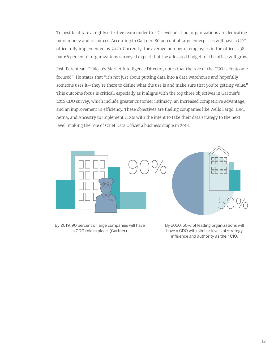To best facilitate a highly effective team under this C-level position, organizations are dedicating more money and resources. According to Gartner, 80 percent of large enterprises will have a CDO office fully implemented by 2020. Currently, the average number of employees in the office is 38, but 66 percent of organizations surveyed expect that the allocated budget for the office will grow.

Josh Parenteau, Tableau's Market Intelligence Director, notes that the role of the CDO is "outcome focused." He states that "it's not just about putting data into a data warehouse and hopefully someone uses it—they're there to define what the use is and make sure that you're getting value." This outcome focus is critical, especially as it aligns with the top three objectives in Gartner's 2016 CDO survey, which include greater customer intimacy, an increased competitive advantage, and an improvement in efficiency. These objectives are fueling companies like Wells Fargo, IBM, Aetna, and Ancestry to implement CDOs with the intent to take their data strategy to the next level, making the role of Chief Data Officer a business staple in 2018.



By 2019, 90 percent of large companies will have a CDO role in place. (Gartner)

By 2020, 50% of leading organizations will have a CDO with similar levels of strategy influence and authority as their CIO.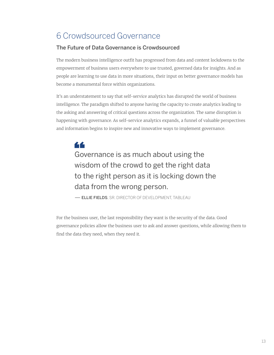### 6 Crowdsourced Governance

#### The Future of Data Governance is Crowdsourced

The modern business intelligence outfit has progressed from data and content lockdowns to the empowerment of business users everywhere to use trusted, governed data for insights. And as people are learning to use data in more situations, their input on better governance models has become a monumental force within organizations.

It's an understatement to say that self-service analytics has disrupted the world of business intelligence. The paradigm shifted to anyone having the capacity to create analytics leading to the asking and answering of critical questions across the organization. The same disruption is happening with governance. As self-service analytics expands, a funnel of valuable perspectives and information begins to inspire new and innovative ways to implement governance.

44 Governance is as much about using the wisdom of the crowd to get the right data to the right person as it is locking down the data from the wrong person.

— ELLIE FIELDS, SR. DIRECTOR OF DEVELOPMENT, TABLEAU

For the business user, the last responsibility they want is the security of the data. Good governance policies allow the business user to ask and answer questions, while allowing them to find the data they need, when they need it.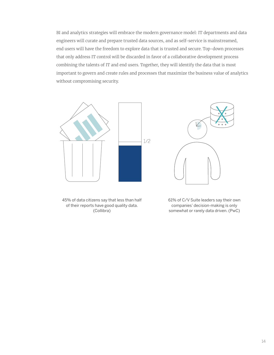BI and analytics strategies will embrace the modern governance model: IT departments and data engineers will curate and prepare trusted data sources, and as self-service is mainstreamed, end users will have the freedom to explore data that is trusted and secure. Top-down processes that only address IT control will be discarded in favor of a collaborative development process combining the talents of IT and end users. Together, they will identify the data that is most important to govern and create rules and processes that maximize the business value of analytics without compromising security.



45% of data citizens say that less than half of their reports have good quality data. (Collibra)

61% of C/V Suite leaders say their own companies' decision-making is only somewhat or rarely data driven. (PwC)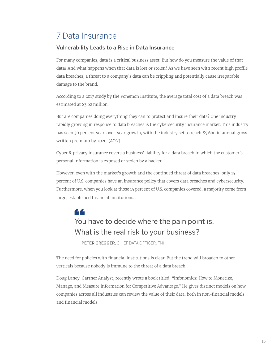### 7 Data Insurance

#### Vulnerability Leads to a Rise in Data Insurance

For many companies, data is a critical business asset. But how do you measure the value of that data? And what happens when that data is lost or stolen? As we have seen with recent high profile data breaches, a threat to a company's data can be crippling and potentially cause irreparable damage to the brand.

According to a 2017 study by the Ponemon Institute, the average total cost of a data breach was estimated at \$3.62 million.

But are companies doing everything they can to protect and insure their data? One industry rapidly growing in response to data breaches is the cybersecurity insurance market. This industry has seen 30 percent year-over-year growth, with the industry set to reach \$5.6bn in annual gross written premium by 2020. (AON)

Cyber & privacy insurance covers a business' liability for a data breach in which the customer's personal information is exposed or stolen by a hacker.

However, even with the market's growth and the continued threat of data breaches, only 15 percent of U.S. companies have an insurance policy that covers data breaches and cybersecurity. Furthermore, when you look at those 15 percent of U.S. companies covered, a majority come from large, established financial institutions.

#### 66 You have to decide where the pain point is. What is the real risk to your business? **- PETER CREGGER** CHIEF DATA OFFICER, FNI

The need for policies with financial institutions is clear. But the trend will broaden to other verticals because nobody is immune to the threat of a data breach.

Doug Laney, Gartner Analyst, recently wrote a book titled, "Infonomics: How to Monetize, Manage, and Measure Information for Competitive Advantage." He gives distinct models on how companies across all industries can review the value of their data, both in non-financial models and financial models.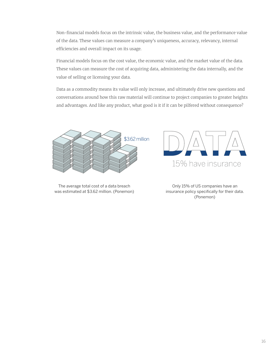Non-financial models focus on the intrinsic value, the business value, and the performance value of the data. These values can measure a company's uniqueness, accuracy, relevancy, internal efficiencies and overall impact on its usage.

Financial models focus on the cost value, the economic value, and the market value of the data. These values can measure the cost of acquiring data, administering the data internally, and the value of selling or licensing your data.

Data as a commodity means its value will only increase, and ultimately drive new questions and conversations around how this raw material will continue to project companies to greater heights and advantages. And like any product, what good is it if it can be pilfered without consequence?



The average total cost of a data breach was estimated at \$3.62 million. (Ponemon)



Only 15% of US companies have an insurance policy specifically for their data. (Ponemon)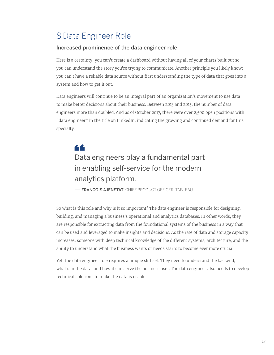### 8 Data Engineer Role

#### Increased prominence of the data engineer role

Here is a certainty: you can't create a dashboard without having all of your charts built out so you can understand the story you're trying to communicate. Another principle you likely know: you can't have a reliable data source without first understanding the type of data that goes into a system and how to get it out.

Data engineers will continue to be an integral part of an organization's movement to use data to make better decisions about their business. Between 2013 and 2015, the number of data engineers more than doubled. And as of October 2017, there were over 2,500 open positions with "data engineer" in the title on LinkedIn, indicating the growing and continued demand for this specialty.

### 44 Data engineers play a fundamental part in enabling self-service for the modern analytics platform.

— FRANCOIS AJENSTAT, CHIEF PRODUCT OFFICER, TABLEAU

So what is this role and why is it so important? The data engineer is responsible for designing, building, and managing a business's operational and analytics databases. In other words, they are responsible for extracting data from the foundational systems of the business in a way that can be used and leveraged to make insights and decisions. As the rate of data and storage capacity increases, someone with deep technical knowledge of the different systems, architecture, and the ability to understand what the business wants or needs starts to become ever more crucial.

Yet, the data engineer role requires a unique skillset. They need to understand the backend, what's in the data, and how it can serve the business user. The data engineer also needs to develop technical solutions to make the data is usable.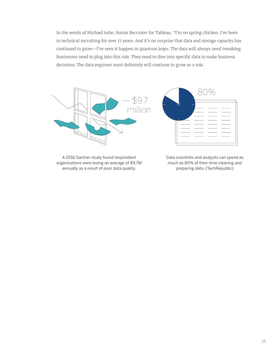In the words of Michael Ashe, Senior Recruiter for Tableau, "I'm no spring chicken. I've been in technical recruiting for over 17 years. And it's no surprise that data and storage capacity has continued to grow—I've seen it happen in quantum leaps. The data will always need tweaking. Businesses need to plug into this role. They need to dive into specific data to make business decisions. The data engineer most definitely will continue to grow as a role.



A 2016 Gartner study found respondent organizations were losing an average of \$9.7M annually as a result of poor data quality.

Data scientists and analysts can spend as much as 80% of their time cleaning and preparing data. (TechRepublic)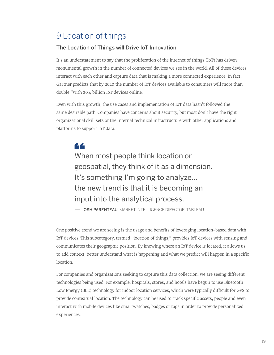### 9 Location of things

#### The Location of Things will Drive IoT Innovation

It's an understatement to say that the proliferation of the internet of things (IoT) has driven monumental growth in the number of connected devices we see in the world. All of these devices interact with each other and capture data that is making a more connected experience. In fact, Gartner predicts that by 2020 the number of IoT devices available to consumers will more than double "with 20.4 billion IoT devices online."

Even with this growth, the use cases and implementation of IoT data hasn't followed the same desirable path. Companies have concerns about security, but most don't have the right organizational skill sets or the internal technical infrastructure with other applications and platforms to support IoT data.

44 When most people think location or geospatial, they think of it as a dimension. It's something I'm going to analyze... the new trend is that it is becoming an input into the analytical process.

— JOSH PARENTEAU, MARKET INTELLIGENCE DIRECTOR, TABLEAU

One positive trend we are seeing is the usage and benefits of leveraging location-based data with IoT devices. This subcategory, termed "location of things," provides IoT devices with sensing and communicates their geographic position. By knowing where an IoT device is located, it allows us to add context, better understand what is happening and what we predict will happen in a specific location.

For companies and organizations seeking to capture this data collection, we are seeing different technologies being used. For example, hospitals, stores, and hotels have begun to use Bluetooth Low Energy (BLE) technology for indoor location services, which were typically difficult for GPS to provide contextual location. The technology can be used to track specific assets, people and even interact with mobile devices like smartwatches, badges or tags in order to provide personalized experiences.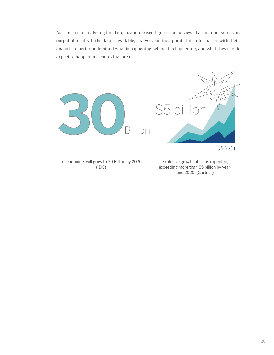As it relates to analyzing the data, location-based figures can be viewed as an input versus an output of results. If the data is available, analysts can incorporate this information with their analysis to better understand what is happening, where it is happening, and what they should expect to happen in a contextual area.



IoT endpoints will grow to 30 Billion by 2020. (IDC)

Explosive growth of IoT is expected, exceeding more than \$5 billion by yearend 2020. (Gartner)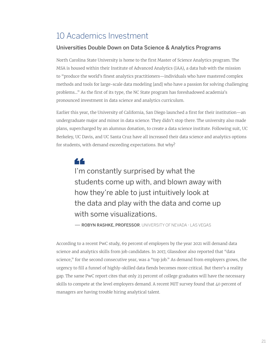#### 10 Academics Investment

#### Universities Double Down on Data Science & Analytics Programs

North Carolina State University is home to the first Master of Science Analytics program. The MSA is housed within their Institute of Advanced Analytics (IAA), a data hub with the mission to "produce the world's finest analytics practitioners—individuals who have mastered complex methods and tools for large-scale data modeling [and] who have a passion for solving challenging problems…" As the first of its type, the NC State program has foreshadowed academia's pronounced investment in data science and analytics curriculum.

Earlier this year, the University of California, San Diego launched a first for their institution—an undergraduate major and minor in data science. They didn't stop there. The university also made plans, supercharged by an alumnus donation, to create a data science institute. Following suit, UC Berkeley, UC Davis, and UC Santa Cruz have all increased their data science and analytics options for students, with demand exceeding expectations. But why?

44 I'm constantly surprised by what the students come up with, and blown away with how they're able to just intuitively look at the data and play with the data and come up with some visualizations.

— ROBYN RASHKE. PROFESSOR, UNIVERSITY OF NEVADA - LAS VEGAS

According to a recent PwC study, 69 percent of employers by the year 2021 will demand data science and analytics skills from job candidates. In 2017, Glassdoor also reported that "data science," for the second consecutive year, was a "top job." As demand from employers grows, the urgency to fill a funnel of highly-skilled data fiends becomes more critical. But there's a reality gap. The same PwC report cites that only 23 percent of college graduates will have the necessary skills to compete at the level employers demand. A recent MIT survey found that 40 percent of managers are having trouble hiring analytical talent.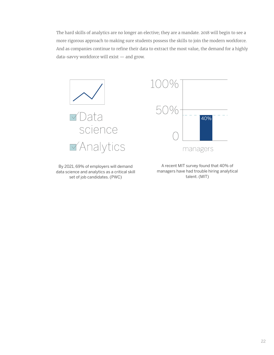The hard skills of analytics are no longer an elective; they are a mandate. 2018 will begin to see a more rigorous approach to making sure students possess the skills to join the modern workforce. And as companies continue to refine their data to extract the most value, the demand for a highly data-savvy workforce will exist — and grow.



By 2021, 69% of employers will demand data science and analytics as a critical skill set of job candidates. (PWC)



A recent MIT survey found that 40% of managers have had trouble hiring analytical talent. (MIT)